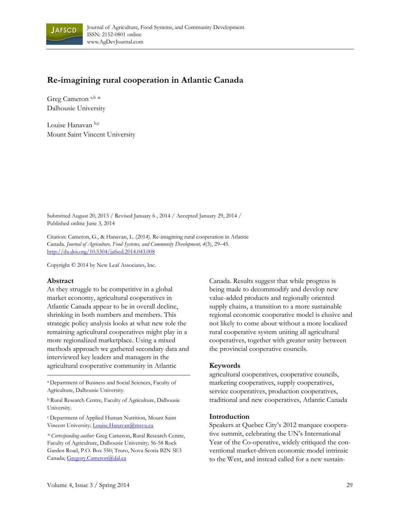

# **Re-imagining rural cooperation in Atlantic Canada**

Greg Cameron<sup>a,b</sup> \* Dalhousie University

Louise Hanavan b,c Mount Saint Vincent University

Submitted August 20, 2013 / Revised January 6 , 2014 / Accepted January 29, 2014 / Published online June 3, 2014

Citation: Cameron, G., & Hanavan, L. (2014). Re-imagining rural cooperation in Atlantic Canada. *Journal of Agriculture, Food Systems, and Community Development, 4*(3), 29–45. http://dx.doi.org/10.5304/jafscd.2014.043.008

Copyright © 2014 by New Leaf Associates, Inc.

#### **Abstract**

As they struggle to be competitive in a global market economy, agricultural cooperatives in Atlantic Canada appear to be in overall decline, shrinking in both numbers and members. This strategic policy analysis looks at what new role the remaining agricultural cooperatives might play in a more regionalized marketplace. Using a mixed methods approach we gathered secondary data and interviewed key leaders and managers in the agricultural cooperative community in Atlantic

a Department of Business and Social Sciences, Faculty of Agriculture, Dalhousie University.

b Rural Research Centre, Faculty of Agriculture, Dalhousie University.

<sup>c</sup> Department of Applied Human Nutrition, Mount Saint Vincent University; Louise.Hanavan@msvu.ca

*\* Corresponding author:* Greg Cameron, Rural Research Centre, Faculty of Agriculture, Dalhousie University; 56-58 Rock Garden Road, P.O. Box 550; Truro, Nova Scotia B2N 5E3 Canada; Gregory.Cameron@dal.ca

Canada. Results suggest that while progress is being made to decommodify and develop new value-added products and regionally oriented supply chains, a transition to a more sustainable regional economic cooperative model is elusive and not likely to come about without a more localized rural cooperative system uniting all agricultural cooperatives, together with greater unity between the provincial cooperative councils.

#### **Keywords**

agricultural cooperatives, cooperative councils, marketing cooperatives, supply cooperatives, service cooperatives, production cooperatives, traditional and new cooperatives, Atlantic Canada

#### **Introduction**

Speakers at Quebec City's 2012 marquee cooperative summit, celebrating the UN's International Year of the Co-operative, widely critiqued the conventional market-driven economic model intrinsic to the West, and instead called for a new sustain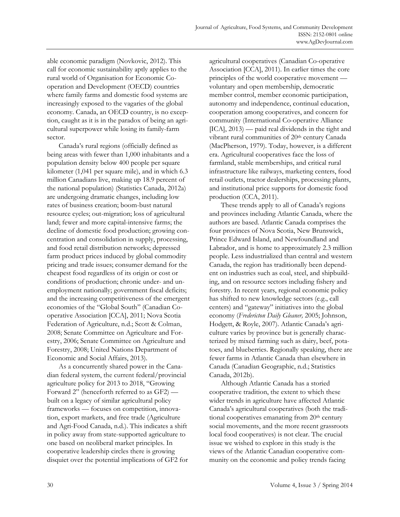able economic paradigm (Novkovic, 2012). This call for economic sustainability aptly applies to the rural world of Organisation for Economic Cooperation and Development (OECD) countries where family farms and domestic food systems are increasingly exposed to the vagaries of the global economy. Canada, an OECD country, is no exception, caught as it is in the paradox of being an agricultural superpower while losing its family-farm sector.

 Canada's rural regions (officially defined as being areas with fewer than 1,000 inhabitants and a population density below 400 people per square kilometer (1,041 per square mile), and in which 6.3 million Canadians live, making up 18.9 percent of the national population) (Statistics Canada, 2012a) are undergoing dramatic changes, including low rates of business creation; boom-bust natural resource cycles; out-migration; loss of agricultural land; fewer and more capital-intensive farms; the decline of domestic food production; growing concentration and consolidation in supply, processing, and food retail distribution networks; depressed farm product prices induced by global commodity pricing and trade issues; consumer demand for the cheapest food regardless of its origin or cost or conditions of production; chronic under- and unemployment nationally; government fiscal deficits; and the increasing competitiveness of the emergent economies of the "Global South" (Canadian Cooperative Association [CCA], 2011; Nova Scotia Federation of Agriculture, n.d.; Scott & Colman, 2008; Senate Committee on Agriculture and Forestry, 2006; Senate Committee on Agriculture and Forestry, 2008; United Nations Department of Economic and Social Affairs, 2013).

 As a concurrently shared power in the Canadian federal system, the current federal/provincial agriculture policy for 2013 to 2018, "Growing Forward 2" (henceforth referred to as GF2) built on a legacy of similar agricultural policy frameworks — focuses on competition, innovation, export markets, and free trade (Agriculture and Agri-Food Canada, n.d.). This indicates a shift in policy away from state-supported agriculture to one based on neoliberal market principles. In cooperative leadership circles there is growing disquiet over the potential implications of GF2 for agricultural cooperatives (Canadian Co-operative Association [CCA], 2011). In earlier times the core principles of the world cooperative movement voluntary and open membership, democratic member control, member economic participation, autonomy and independence, continual education, cooperation among cooperatives, and concern for community (International Co-operative Alliance [ICA], 2013) — paid real dividends in the tight and vibrant rural communities of 20<sup>th</sup> century Canada (MacPherson, 1979). Today, however, is a different era. Agricultural cooperatives face the loss of farmland, stable memberships, and critical rural infrastructure like railways, marketing centers, food retail outlets, tractor dealerships, processing plants, and institutional price supports for domestic food production (CCA, 2011).

 These trends apply to all of Canada's regions and provinces including Atlantic Canada, where the authors are based. Atlantic Canada comprises the four provinces of Nova Scotia, New Brunswick, Prince Edward Island, and Newfoundland and Labrador, and is home to approximately 2.3 million people. Less industrialized than central and western Canada, the region has traditionally been dependent on industries such as coal, steel, and shipbuilding, and on resource sectors including fishery and forestry. In recent years, regional economic policy has shifted to new knowledge sectors (e.g., call centers) and "gateway" initiatives into the global economy (*Fredericton Daily Gleaner,* 2005; Johnson, Hodgett, & Royle, 2007). Atlantic Canada's agriculture varies by province but is generally characterized by mixed farming such as dairy, beef, potatoes, and blueberries. Regionally speaking, there are fewer farms in Atlantic Canada than elsewhere in Canada (Canadian Geographic, n.d.; Statistics Canada, 2012b).

 Although Atlantic Canada has a storied cooperative tradition, the extent to which these wider trends in agriculture have affected Atlantic Canada's agricultural cooperatives (both the traditional cooperatives emanating from 20<sup>th</sup> century social movements, and the more recent grassroots local food cooperatives) is not clear. The crucial issue we wished to explore in this study is the views of the Atlantic Canadian cooperative community on the economic and policy trends facing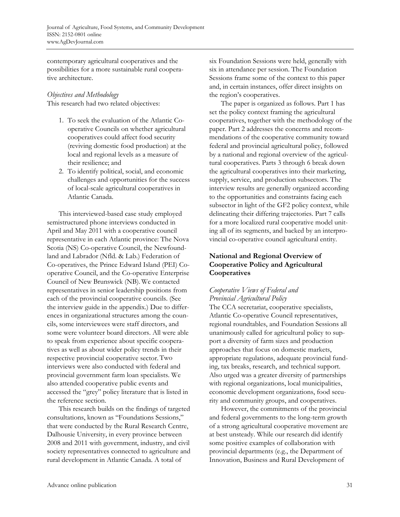contemporary agricultural cooperatives and the possibilities for a more sustainable rural cooperative architecture.

# *Objectives and Methodology*  This research had two related objectives:

- 1. To seek the evaluation of the Atlantic Cooperative Councils on whether agricultural cooperatives could affect food security (reviving domestic food production) at the local and regional levels as a measure of their resilience; and
- 2. To identify political, social, and economic challenges and opportunities for the success of local-scale agricultural cooperatives in Atlantic Canada.

 This interviewed-based case study employed semistructured phone interviews conducted in April and May 2011 with a cooperative council representative in each Atlantic province: The Nova Scotia (NS) Co-operative Council, the Newfoundland and Labrador (Nfld. & Lab.) Federation of Co-operatives, the Prince Edward Island (PEI) Cooperative Council, and the Co-operative Enterprise Council of New Brunswick (NB). We contacted representatives in senior leadership positions from each of the provincial cooperative councils. (See the interview guide in the appendix.) Due to differences in organizational structures among the councils, some interviewees were staff directors, and some were volunteer board directors. All were able to speak from experience about specific cooperatives as well as about wider policy trends in their respective provincial cooperative sector. Two interviews were also conducted with federal and provincial government farm loan specialists. We also attended cooperative public events and accessed the "grey" policy literature that is listed in the reference section.

 This research builds on the findings of targeted consultations, known as "Foundations Sessions," that were conducted by the Rural Research Centre, Dalhousie University, in every province between 2008 and 2011 with government, industry, and civil society representatives connected to agriculture and rural development in Atlantic Canada. A total of

six Foundation Sessions were held, generally with six in attendance per session. The Foundation Sessions frame some of the context to this paper and, in certain instances, offer direct insights on the region's cooperatives.

 The paper is organized as follows. Part 1 has set the policy context framing the agricultural cooperatives, together with the methodology of the paper. Part 2 addresses the concerns and recommendations of the cooperative community toward federal and provincial agricultural policy, followed by a national and regional overview of the agricultural cooperatives. Parts 3 through 6 break down the agricultural cooperatives into their marketing, supply, service, and production subsectors. The interview results are generally organized according to the opportunities and constraints facing each subsector in light of the GF2 policy context, while delineating their differing trajectories. Part 7 calls for a more localized rural cooperative model uniting all of its segments, and backed by an interprovincial co-operative council agricultural entity.

## **National and Regional Overview of Cooperative Policy and Agricultural Cooperatives**

# *Cooperative Views of Federal and Provincial Agricultural Policy*

The CCA secretariat, cooperative specialists, Atlantic Co-operative Council representatives, regional roundtables, and Foundation Sessions all unanimously called for agricultural policy to support a diversity of farm sizes and production approaches that focus on domestic markets, appropriate regulations, adequate provincial funding, tax breaks, research, and technical support. Also urged was a greater diversity of partnerships with regional organizations, local municipalities, economic development organizations, food security and community groups, and cooperatives.

 However, the commitments of the provincial and federal governments to the long-term growth of a strong agricultural cooperative movement are at best unsteady. While our research did identify some positive examples of collaboration with provincial departments (e.g., the Department of Innovation, Business and Rural Development of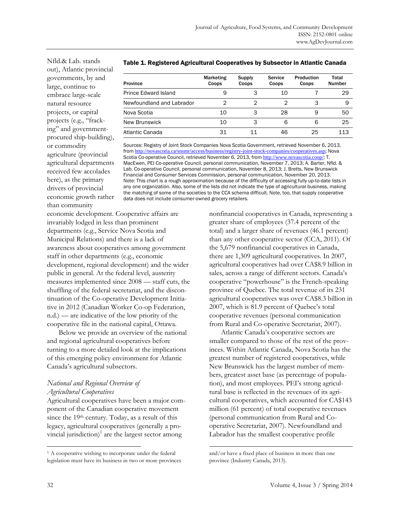Nfld.& Lab. stands out), Atlantic provincial governments, by and large, continue to embrace large-scale natural resource projects, or capital projects (e.g., "fracking" and governmentprocured ship-building), or commodity agriculture (provincial agricultural departments received few accolades here), as the primary drivers of provincial economic growth rather than community

#### Table 1. Registered Agricultural Cooperatives by Subsector in Atlantic Canada

| Province                  | <b>Marketing</b><br>Coops | Supply<br>Coops | Service<br>Coops | Production<br>Coops | Total<br><b>Number</b> |
|---------------------------|---------------------------|-----------------|------------------|---------------------|------------------------|
| Prince Edward Island      |                           | 3               | 10               |                     | 29                     |
| Newfoundland and Labrador | ⌒                         | ⌒               | ⌒                | 3                   | 9                      |
| Nova Scotia               | 10                        | 3               | 28               | 9                   | 50                     |
| New Brunswick             | 10                        | 3               | 6                | 6                   | 25                     |
| Atlantic Canada           | 31                        |                 | 46               | 25                  | 113                    |

Sources: Registry of Joint Stock Companies Nova Scotia Government, retrieved November 6, 2013, from http://novascotia.ca/snsmr/access/business/registry-joint-stock-companies/cooperatives.asp; Nova Scotia Co-operative Council, retrieved November 6, 2013, from http://www.novascotia.coop/; T. MacEwen, PEI Co-operative Council, personal communication, November 7, 2013; A. Barter, Nfld. & Lab. Co-operative Council, personal communication, November 8, 2013; J. Bretts, New Brunswick Financial and Consumer Services Commission, personal communication, November 20, 2013. Note: This chart is a rough approximation because of the difficulty of accessing fully up-to-date lists in any one organization. Also, some of the lists did not indicate the type of agricultural business, making the matching of some of the societies to the CCA schema difficult. Note, too, that supply cooperative data does not include consumer-owned grocery retailers.

economic development. Cooperative affairs are invariably lodged in less than prominent departments (e.g., Service Nova Scotia and Municipal Relations) and there is a lack of awareness about cooperatives among government staff in other departments (e.g., economic development, regional development) and the wider public in general. At the federal level, austerity measures implemented since 2008 — staff cuts, the shuffling of the federal secretariat, and the discontinuation of the Co-operative Development Initiative in 2012 (Canadian Worker Co-op Federation, n.d.) — are indicative of the low priority of the cooperative file in the national capital, Ottawa.

 Below we provide an overview of the national and regional agricultural cooperatives before turning to a more detailed look at the implications of this emerging policy environment for Atlantic Canada's agricultural subsectors.

## *National and Regional Overview of Agricultural Cooperatives*

Agricultural cooperatives have been a major component of the Canadian cooperative movement since the 19<sup>th</sup> century. Today, as a result of this legacy, agricultural cooperatives (generally a provincial jurisdiction) $1$  are the largest sector among

nonfinancial cooperatives in Canada, representing a greater share of employees (37.4 percent of the total) and a larger share of revenues (46.1 percent) than any other cooperative sector (CCA, 2011). Of the 5,679 nonfinancial cooperatives in Canada, there are 1,309 agricultural cooperatives. In 2007, agricultural cooperatives had over CA\$8.9 billion in sales, across a range of different sectors. Canada's cooperative "powerhouse" is the French-speaking province of Quebec. The total revenue of its 231 agricultural cooperatives was over CA\$8.3 billion in 2007, which is 81.9 percent of Quebec's total cooperative revenues (personal communication from Rural and Co-operative Secretariat, 2007).

 Atlantic Canada's cooperative sectors are smaller compared to those of the rest of the provinces. Within Atlantic Canada, Nova Scotia has the greatest number of registered cooperatives, while New Brunswick has the largest number of members, greatest asset base (as percentage of population), and most employees. PEI's strong agricultural base is reflected in the revenues of its agricultural cooperatives, which accounted for CA\$143 million (61 percent) of total cooperative revenues (personal communication from Rural and Cooperative Secretariat, 2007). Newfoundland and Labrador has the smallest cooperative profile

 $\overline{a}$ 

<sup>&</sup>lt;sup>1</sup> A cooperative wishing to incorporate under the federal legislation must have its business in two or more provinces

and/or have a fixed place of business in more than one province (Industry Canada, 2013).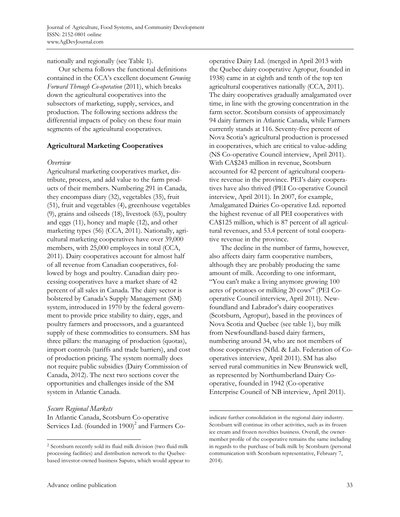nationally and regionally (see Table 1).

 Our schema follows the functional definitions contained in the CCA's excellent document *Growing Forward Through Co-operation* (2011), which breaks down the agricultural cooperatives into the subsectors of marketing, supply, services, and production. The following sections address the differential impacts of policy on these four main segments of the agricultural cooperatives.

# **Agricultural Marketing Cooperatives**

## *Overview*

Agricultural marketing cooperatives market, distribute, process, and add value to the farm products of their members. Numbering 291 in Canada, they encompass diary (32), vegetables (35), fruit (51), fruit and vegetables (4), greenhouse vegetables (9), grains and oilseeds (18), livestock (63), poultry and eggs (11), honey and maple (12), and other marketing types (56) (CCA, 2011). Nationally, agricultural marketing cooperatives have over 39,000 members, with 25,000 employees in total (CCA, 2011). Dairy cooperatives account for almost half of all revenue from Canadian cooperatives, followed by hogs and poultry. Canadian dairy processing cooperatives have a market share of 42 percent of all sales in Canada. The dairy sector is bolstered by Canada's Supply Management (SM) system, introduced in 1970 by the federal government to provide price stability to dairy, eggs, and poultry farmers and processors, and a guaranteed supply of these commodities to consumers. SM has three pillars: the managing of production (quotas), import controls (tariffs and trade barriers), and cost of production pricing. The system normally does not require public subsidies (Dairy Commission of Canada, 2012). The next two sections cover the opportunities and challenges inside of the SM system in Atlantic Canada.

# *Secure Regional Markets*

 $\overline{a}$ 

In Atlantic Canada, Scotsburn Co-operative Services Ltd. (founded in 1900)<sup>2</sup> and Farmers Cooperative Dairy Ltd. (merged in April 2013 with the Quebec dairy cooperative Agropur, founded in 1938) came in at eighth and tenth of the top ten agricultural cooperatives nationally (CCA, 2011). The dairy cooperatives gradually amalgamated over time, in line with the growing concentration in the farm sector. Scotsburn consists of approximately 94 dairy farmers in Atlantic Canada, while Farmers currently stands at 116. Seventy-five percent of Nova Scotia's agricultural production is processed in cooperatives, which are critical to value-adding (NS Co-operative Council interview, April 2011). With CA\$243 million in revenue, Scotsburn accounted for 42 percent of agricultural cooperative revenue in the province. PEI's dairy cooperatives have also thrived (PEI Co-operative Council interview, April 2011). In 2007, for example, Amalgamated Dairies Co-operative Ltd. reported the highest revenue of all PEI cooperatives with CA\$125 million, which is 87 percent of all agricultural revenues, and 53.4 percent of total cooperative revenue in the province.

 The decline in the number of farms, however, also affects dairy farm cooperative numbers, although they are probably producing the same amount of milk. According to one informant, "You can't make a living anymore growing 100 acres of potatoes or milking 20 cows" (PEI Cooperative Council interview, April 2011). Newfoundland and Labrador's dairy cooperatives (Scotsburn, Agropur), based in the provinces of Nova Scotia and Quebec (see table 1), buy milk from Newfoundland-based dairy farmers, numbering around 34, who are not members of those cooperatives (Nfld. & Lab. Federation of Cooperatives interview, April 2011). SM has also served rural communities in New Brunswick well, as represented by Northumberland Dairy Cooperative, founded in 1942 (Co-operative Enterprise Council of NB interview, April 2011).

<sup>2</sup> Scotsburn recently sold its fluid milk division (two fluid milk processing facilities) and distribution network to the Quebecbased investor-owned business Saputo, which would appear to

indicate further consolidation in the regional dairy industry. Scotsburn will continue its other activities, such as its frozen ice cream and frozen novelties business. Overall, the ownermember profile of the cooperative remains the same including in regards to the purchase of bulk milk by Scotsburn (personal communication with Scotsburn representative, February 7, 2014).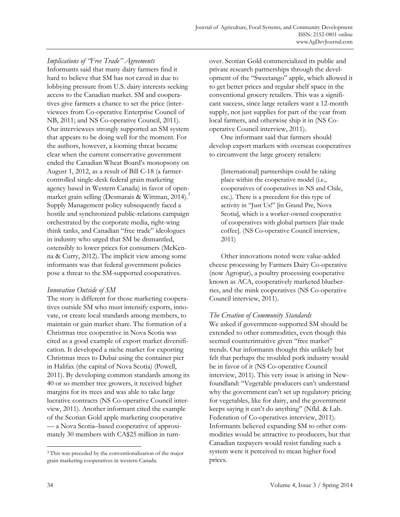*Implications of "Free Trade" Agreements*  Informants said that many dairy farmers find it hard to believe that SM has not caved in due to lobbying pressure from U.S. dairy interests seeking access to the Canadian market. SM and cooperatives give farmers a chance to set the price (interviewees from Co-operative Enterprise Council of NB, 2011; and NS Co-operative Council, 2011). Our interviewees strongly supported an SM system that appears to be doing well for the moment. For the authors, however, a looming threat became clear when the current conservative government ended the Canadian Wheat Board's monopsony on August 1, 2012, as a result of Bill C-18 (a farmercontrolled single-desk federal grain marketing agency based in Western Canada) in favor of openmarket grain selling (Desmarais & Wittman, 2014).<sup>3</sup> Supply Management policy subsequently faced a hostile and synchronized public-relations campaign orchestrated by the corporate media, right-wing think tanks, and Canadian "free trade" ideologues in industry who urged that SM be dismantled, ostensibly to lower prices for consumers (McKenna & Curry, 2012). The implicit view among some informants was that federal government policies pose a threat to the SM-supported cooperatives.

# *Innovation Outside of SM*

The story is different for those marketing cooperatives outside SM who must intensify exports, innovate, or create local standards among members, to maintain or gain market share. The formation of a Christmas tree cooperative in Nova Scotia was cited as a good example of export market diversification. It developed a niche market for exporting Christmas trees to Dubai using the container pier in Halifax (the capital of Nova Scotia) (Powell, 2011). By developing common standards among its 40 or so member tree growers, it received higher margins for its trees and was able to take large lucrative contracts (NS Co-operative Council interview, 2011). Another informant cited the example of the Scotian Gold apple marketing cooperative — a Nova Scotia–based cooperative of approximately 30 members with CA\$25 million in turnover. Scotian Gold commercialized its public and private research partnerships through the development of the "Sweetango" apple, which allowed it to get better prices and regular shelf space in the conventional grocery retailers. This was a significant success, since large retailers want a 12-month supply, not just supplies for part of the year from local farmers, and otherwise ship it in (NS Cooperative Council interview, 2011).

 One informant said that farmers should develop export markets with overseas cooperatives to circumvent the large grocery retailers:

[International] partnerships could be taking place within the cooperative model (i.e., cooperatives of cooperatives in NS and Chile, etc.). There is a precedent for this type of activity in "Just Us!" [in Grand Pre, Nova Scotia], which is a worker-owned cooperative of cooperatives with global partners [fair trade coffee]. (NS Co-operative Council interview, 2011)

 Other innovations noted were value-added cheese processing by Farmers Dairy Co-operative (now Agropur), a poultry processing cooperative known as ACA, cooperatively marketed blueberries, and the mink cooperatives (NS Co-operative Council interview, 2011).

## *The Creation of Community Standards*

We asked if government-supported SM should be extended to other commodities, even though this seemed counterintuitive given "free market" trends. Our informants thought this unlikely but felt that perhaps the troubled pork industry would be in favor of it (NS Co-operative Council interview, 2011). This very issue is arising in Newfoundland: "Vegetable producers can't understand why the government can't set up regulatory pricing for vegetables, like for dairy, and the government keeps saying it can't do anything" (Nfld. & Lab. Federation of Co-operatives interview, 2011). Informants believed expanding SM to other commodities would be attractive to producers, but that Canadian taxpayers would resist funding such a system were it perceived to mean higher food prices.

<sup>&</sup>lt;sup>3</sup> This was preceded by the conventionalization of the major grain marketing cooperatives in western Canada.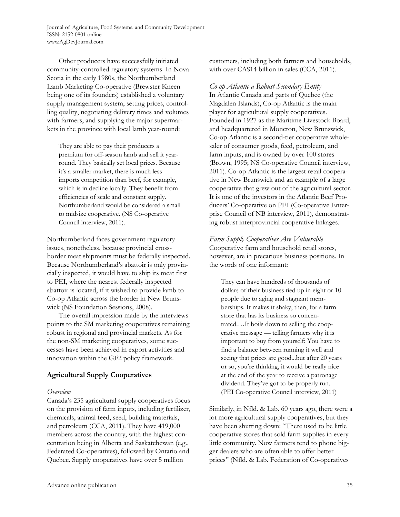Other producers have successfully initiated community-controlled regulatory systems. In Nova Scotia in the early 1980s, the Northumberland Lamb Marketing Co-operative (Brewster Kneen being one of its founders) established a voluntary supply management system, setting prices, controlling quality, negotiating delivery times and volumes with farmers, and supplying the major supermarkets in the province with local lamb year-round:

They are able to pay their producers a premium for off-season lamb and sell it yearround. They basically set local prices. Because it's a smaller market, there is much less imports competition than beef, for example, which is in decline locally. They benefit from efficiencies of scale and constant supply. Northumberland would be considered a small to midsize cooperative. (NS Co-operative Council interview, 2011).

Northumberland faces government regulatory issues, nonetheless, because provincial crossborder meat shipments must be federally inspected. Because Northumberland's abattoir is only provincially inspected, it would have to ship its meat first to PEI, where the nearest federally inspected abattoir is located, if it wished to provide lamb to Co-op Atlantic across the border in New Brunswick (NS Foundation Sessions, 2008).

 The overall impression made by the interviews points to the SM marketing cooperatives remaining robust in regional and provincial markets. As for the non-SM marketing cooperatives, some successes have been achieved in export activities and innovation within the GF2 policy framework.

# **Agricultural Supply Cooperatives**

## *Overview*

Canada's 235 agricultural supply cooperatives focus on the provision of farm inputs, including fertilizer, chemicals, animal feed, seed, building materials, and petroleum (CCA, 2011). They have 419,000 members across the country, with the highest concentration being in Alberta and Saskatchewan (e.g., Federated Co-operatives), followed by Ontario and Quebec. Supply cooperatives have over 5 million

customers, including both farmers and households, with over CA\$14 billion in sales (CCA, 2011).

*Co-op Atlantic a Robust Secondary Entity* 

In Atlantic Canada and parts of Quebec (the Magdalen Islands), Co-op Atlantic is the main player for agricultural supply cooperatives. Founded in 1927 as the Maritime Livestock Board, and headquartered in Moncton, New Brunswick, Co-op Atlantic is a second-tier cooperative wholesaler of consumer goods, feed, petroleum, and farm inputs, and is owned by over 100 stores (Brown, 1995; NS Co-operative Council interview, 2011). Co-op Atlantic is the largest retail cooperative in New Brunswick and an example of a large cooperative that grew out of the agricultural sector. It is one of the investors in the Atlantic Beef Producers' Co-operative on PEI (Co-operative Enterprise Council of NB interview, 2011), demonstrating robust interprovincial cooperative linkages.

*Farm Supply Cooperatives Are Vulnerable*  Cooperative farm and household retail stores, however, are in precarious business positions. In the words of one informant:

They can have hundreds of thousands of dollars of their business tied up in eight or 10 people due to aging and stagnant memberships. It makes it shaky, then, for a farm store that has its business so concentrated.…It boils down to selling the cooperative message — telling farmers why it is important to buy from yourself: You have to find a balance between running it well and seeing that prices are good...but after 20 years or so, you're thinking, it would be really nice at the end of the year to receive a patronage dividend. They've got to be properly run. (PEI Co-operative Council interview, 2011)

Similarly, in Nfld. & Lab. 60 years ago, there were a lot more agricultural supply cooperatives, but they have been shutting down: "There used to be little cooperative stores that sold farm supplies in every little community. Now farmers tend to phone bigger dealers who are often able to offer better prices" (Nfld. & Lab. Federation of Co-operatives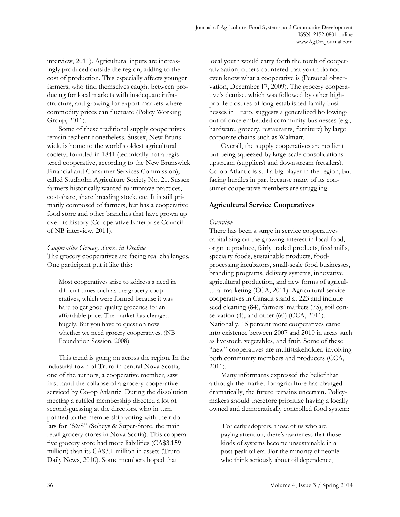interview, 2011). Agricultural inputs are increasingly produced outside the region, adding to the cost of production. This especially affects younger farmers, who find themselves caught between producing for local markets with inadequate infrastructure, and growing for export markets where commodity prices can fluctuate (Policy Working Group, 2011).

 Some of these traditional supply cooperatives remain resilient nonetheless. Sussex, New Brunswick, is home to the world's oldest agricultural society, founded in 1841 (technically not a registered cooperative, according to the New Brunswick Financial and Consumer Services Commission), called Studholm Agriculture Society No. 21. Sussex farmers historically wanted to improve practices, cost-share, share breeding stock, etc. It is still primarily composed of farmers, but has a cooperative food store and other branches that have grown up over its history (Co-operative Enterprise Council of NB interview, 2011).

## *Cooperative Grocery Stores in Decline*

The grocery cooperatives are facing real challenges. One participant put it like this:

Most cooperatives arise to address a need in difficult times such as the grocery cooperatives, which were formed because it was hard to get good quality groceries for an affordable price. The market has changed hugely. But you have to question now whether we need grocery cooperatives. (NB Foundation Session, 2008)

 This trend is going on across the region. In the industrial town of Truro in central Nova Scotia, one of the authors, a cooperative member, saw first-hand the collapse of a grocery cooperative serviced by Co-op Atlantic. During the dissolution meeting a ruffled membership directed a lot of second-guessing at the directors, who in turn pointed to the membership voting with their dollars for "S&S" (Sobeys & Super-Store, the main retail grocery stores in Nova Scotia). This cooperative grocery store had more liabilities (CA\$3.159 million) than its CA\$3.1 million in assets (Truro Daily News, 2010). Some members hoped that

local youth would carry forth the torch of cooperativization; others countered that youth do not even know what a cooperative is (Personal observation, December 17, 2009). The grocery cooperative's demise, which was followed by other highprofile closures of long-established family businesses in Truro, suggests a generalized hollowingout of once embedded community businesses (e.g., hardware, grocery, restaurants, furniture) by large corporate chains such as Walmart.

 Overall, the supply cooperatives are resilient but being squeezed by large-scale consolidations upstream (suppliers) and downstream (retailers). Co-op Atlantic is still a big player in the region, but facing hurdles in part because many of its consumer cooperative members are struggling.

# **Agricultural Service Cooperatives**

## *Overview*

There has been a surge in service cooperatives capitalizing on the growing interest in local food, organic produce, fairly traded products, feed mills, specialty foods, sustainable products, foodprocessing incubators, small-scale food businesses, branding programs, delivery systems, innovative agricultural production, and new forms of agricultural marketing (CCA, 2011). Agricultural service cooperatives in Canada stand at 223 and include seed cleaning (84), farmers' markets (75), soil conservation (4), and other (60) (CCA, 2011). Nationally, 15 percent more cooperatives came into existence between 2007 and 2010 in areas such as livestock, vegetables, and fruit. Some of these "new" cooperatives are multistakeholder, involving both community members and producers (CCA, 2011).

 Many informants expressed the belief that although the market for agriculture has changed dramatically, the future remains uncertain. Policymakers should therefore prioritize having a locally owned and democratically controlled food system:

 For early adopters, those of us who are paying attention, there's awareness that those kinds of systems become unsustainable in a post-peak oil era. For the minority of people who think seriously about oil dependence,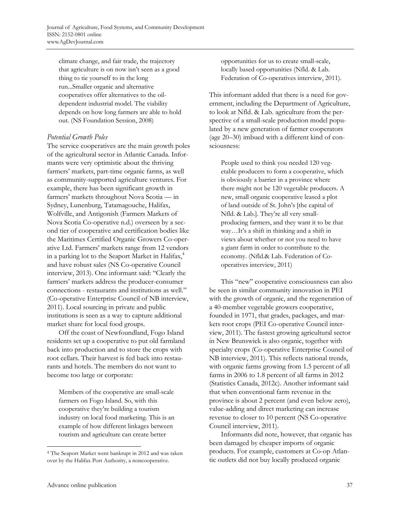climate change, and fair trade, the trajectory that agriculture is on now isn't seen as a good thing to tie yourself to in the long run...Smaller organic and alternative cooperatives offer alternatives to the oildependent industrial model. The viability depends on how long farmers are able to hold out. (NS Foundation Session, 2008)

## *Potential Growth Poles*

The service cooperatives are the main growth poles of the agricultural sector in Atlantic Canada. Informants were very optimistic about the thriving farmers' markets, part-time organic farms, as well as community-supported agriculture ventures. For example, there has been significant growth in farmers' markets throughout Nova Scotia — in Sydney, Lunenburg, Tatamagouche, Halifax, Wolfville, and Antigonish (Farmers Markets of Nova Scotia Co-operative n.d.) overseen by a second tier of cooperative and certification bodies like the Maritimes Certified Organic Growers Co-operative Ltd. Farmers' markets range from 12 vendors in a parking lot to the Seaport Market in Halifax,<sup>4</sup> and have robust sales (NS Co-operative Council interview, 2013). One informant said: "Clearly the farmers' markets address the producer-consumer connections - restaurants and institutions as well." (Co-operative Enterprise Council of NB interview, 2011). Local sourcing in private and public institutions is seen as a way to capture additional market share for local food groups.

 Off the coast of Newfoundland, Fogo Island residents set up a cooperative to put old farmland back into production and to store the crops with root cellars. Their harvest is fed back into restaurants and hotels. The members do not want to become too large or corporate:

Members of the cooperative are small-scale farmers on Fogo Island. So, with this cooperative they're building a tourism industry on local food marketing. This is an example of how different linkages between tourism and agriculture can create better

opportunities for us to create small-scale, locally based opportunities (Nfld. & Lab. Federation of Co-operatives interview, 2011).

This informant added that there is a need for government, including the Department of Agriculture, to look at Nfld. & Lab. agriculture from the perspective of a small-scale production model populated by a new generation of farmer cooperators (age 20–30) imbued with a different kind of consciousness:

People used to think you needed 120 vegetable producers to form a cooperative, which is obviously a barrier in a province where there might not be 120 vegetable producers. A new, small organic cooperative leased a plot of land outside of St. John's [the capital of Nfld. & Lab.]. They're all very smallproducing farmers, and they want it to be that way…It's a shift in thinking and a shift in views about whether or not you need to have a giant farm in order to contribute to the economy. (Nfld.& Lab. Federation of Cooperatives interview, 2011)

 This "new" cooperative consciousness can also be seen in similar community innovation in PEI with the growth of organic, and the regeneration of a 40-member vegetable growers cooperative, founded in 1971, that grades, packages, and markets root crops (PEI Co-operative Council interview, 2011). The fastest growing agricultural sector in New Brunswick is also organic, together with specialty crops (Co-operative Enterprise Council of NB interview, 2011). This reflects national trends, with organic farms growing from 1.5 percent of all farms in 2006 to 1.8 percent of all farms in 2012 (Statistics Canada, 2012c). Another informant said that when conventional farm revenue in the province is about 2 percent (and even below zero), value-adding and direct marketing can increase revenue to closer to 10 percent (NS Co-operative Council interview, 2011).

 Informants did note, however, that organic has been damaged by cheaper imports of organic products. For example, customers at Co-op Atlantic outlets did not buy locally produced organic

<sup>4</sup> The Seaport Market went bankrupt in 2012 and was taken over by the Halifax Port Authority, a noncooperative.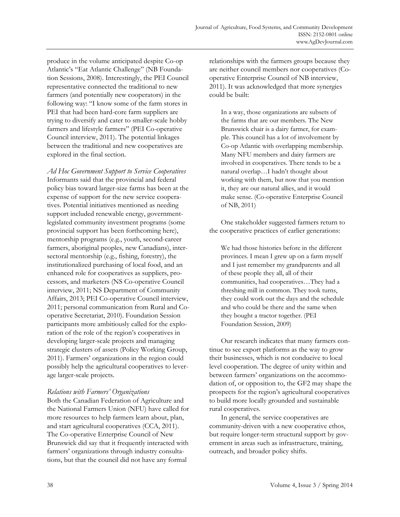produce in the volume anticipated despite Co-op Atlantic's "Eat Atlantic Challenge" (NB Foundation Sessions, 2008). Interestingly, the PEI Council representative connected the traditional to new farmers (and potentially new cooperators) in the following way: "I know some of the farm stores in PEI that had been hard-core farm suppliers are trying to diversify and cater to smaller-scale hobby farmers and lifestyle farmers" (PEI Co-operative Council interview, 2011). The potential linkages between the traditional and new cooperatives are explored in the final section.

*Ad Hoc Government Support to Service Cooperatives*  Informants said that the provincial and federal policy bias toward larger-size farms has been at the expense of support for the new service cooperatives. Potential initiatives mentioned as needing support included renewable energy, governmentlegislated community investment programs (some provincial support has been forthcoming here), mentorship programs (e.g., youth, second-career farmers, aboriginal peoples, new Canadians), intersectoral mentorship (e.g., fishing, forestry), the institutionalized purchasing of local food, and an enhanced role for cooperatives as suppliers, processors, and marketers (NS Co-operative Council interview, 2011; NS Department of Community Affairs, 2013; PEI Co-operative Council interview, 2011; personal communication from Rural and Cooperative Secretariat, 2010). Foundation Session participants more ambitiously called for the exploration of the role of the region's cooperatives in developing larger-scale projects and managing strategic clusters of assets (Policy Working Group, 2011). Farmers' organizations in the region could possibly help the agricultural cooperatives to leverage larger-scale projects.

#### *Relations with Farmers' Organizations*

Both the Canadian Federation of Agriculture and the National Farmers Union (NFU) have called for more resources to help farmers learn about, plan, and start agricultural cooperatives (CCA, 2011). The Co-operative Enterprise Council of New Brunswick did say that it frequently interacted with farmers' organizations through industry consultations, but that the council did not have any formal

relationships with the farmers groups because they are neither council members nor cooperatives (Cooperative Enterprise Council of NB interview, 2011). It was acknowledged that more synergies could be built:

In a way, those organizations are subsets of the farms that are our members. The New Brunswick chair is a dairy farmer, for example. This council has a lot of involvement by Co-op Atlantic with overlapping membership. Many NFU members and dairy farmers are involved in cooperatives. There tends to be a natural overlap…I hadn't thought about working with them, but now that you mention it, they are our natural allies, and it would make sense. (Co-operative Enterprise Council of NB, 2011)

 One stakeholder suggested farmers return to the cooperative practices of earlier generations:

We had those histories before in the different provinces. I mean I grew up on a farm myself and I just remember my grandparents and all of these people they all, all of their communities, had cooperatives…They had a threshing mill in common. They took turns, they could work out the days and the schedule and who could be there and the same when they bought a tractor together. (PEI Foundation Session, 2009)

 Our research indicates that many farmers continue to see export platforms as the way to grow their businesses, which is not conducive to local level cooperation. The degree of unity within and between farmers' organizations on the accommodation of, or opposition to, the GF2 may shape the prospects for the region's agricultural cooperatives to build more locally grounded and sustainable rural cooperatives.

 In general, the service cooperatives are community-driven with a new cooperative ethos, but require longer-term structural support by government in areas such as infrastructure, training, outreach, and broader policy shifts.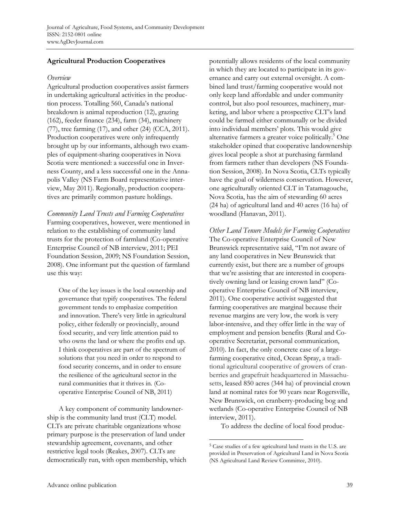# **Agricultural Production Cooperatives**

#### *Overview*

Agricultural production cooperatives assist farmers in undertaking agricultural activities in the production process. Totalling 560, Canada's national breakdown is animal reproduction (12), grazing (162), feeder finance (234), farm (34), machinery (77), tree farming (17), and other (24) (CCA, 2011). Production cooperatives were only infrequently brought up by our informants, although two examples of equipment-sharing cooperatives in Nova Scotia were mentioned: a successful one in Inverness County, and a less successful one in the Annapolis Valley (NS Farm Board representative interview, May 2011). Regionally, production cooperatives are primarily common pasture holdings.

*Community Land Trusts and Farming Cooperatives*  Farming cooperatives, however, were mentioned in relation to the establishing of community land trusts for the protection of farmland (Co-operative Enterprise Council of NB interview, 2011; PEI Foundation Session, 2009; NS Foundation Session, 2008). One informant put the question of farmland use this way:

One of the key issues is the local ownership and governance that typify cooperatives. The federal government tends to emphasize competition and innovation. There's very little in agricultural policy, either federally or provincially, around food security, and very little attention paid to who owns the land or where the profits end up. I think cooperatives are part of the spectrum of solutions that you need in order to respond to food security concerns, and in order to ensure the resilience of the agricultural sector in the rural communities that it thrives in. (Cooperative Enterprise Council of NB, 2011)

 A key component of community landownership is the community land trust (CLT) model. CLTs are private charitable organizations whose primary purpose is the preservation of land under stewardship agreement, covenants, and other restrictive legal tools (Reakes, 2007). CLTs are democratically run, with open membership, which potentially allows residents of the local community in which they are located to participate in its governance and carry out external oversight. A combined land trust/farming cooperative would not only keep land affordable and under community control, but also pool resources, machinery, marketing, and labor where a prospective CLT's land could be farmed either communally or be divided into individual members' plots. This would give alternative farmers a greater voice politically.<sup>5</sup> One stakeholder opined that cooperative landownership gives local people a shot at purchasing farmland from farmers rather than developers (NS Foundation Session, 2008). In Nova Scotia, CLTs typically have the goal of wilderness conservation. However, one agriculturally oriented CLT in Tatamagouche, Nova Scotia, has the aim of stewarding 60 acres (24 ha) of agricultural land and 40 acres (16 ha) of woodland (Hanavan, 2011).

*Other Land Tenure Models for Farming Cooperatives*  The Co-operative Enterprise Council of New Brunswick representative said, "I'm not aware of any land cooperatives in New Brunswick that currently exist, but there are a number of groups that we're assisting that are interested in cooperatively owning land or leasing crown land" (Cooperative Enterprise Council of NB interview, 2011). One cooperative activist suggested that farming cooperatives are marginal because their revenue margins are very low, the work is very labor-intensive, and they offer little in the way of employment and pension benefits (Rural and Cooperative Secretariat, personal communication, 2010). In fact, the only concrete case of a largefarming cooperative cited, Ocean Spray, a traditional agricultural cooperative of growers of cranberries and grapefruit headquartered in Massachusetts, leased 850 acres (344 ha) of provincial crown land at nominal rates for 90 years near Rogersville, New Brunswick, on cranberry-producing bog and wetlands (Co-operative Enterprise Council of NB interview, 2011).

To address the decline of local food produc-

 $\overline{a}$ 5 Case studies of a few agricultural land trusts in the U.S. are provided in Preservation of Agricultural Land in Nova Scotia (NS Agricultural Land Review Committee, 2010).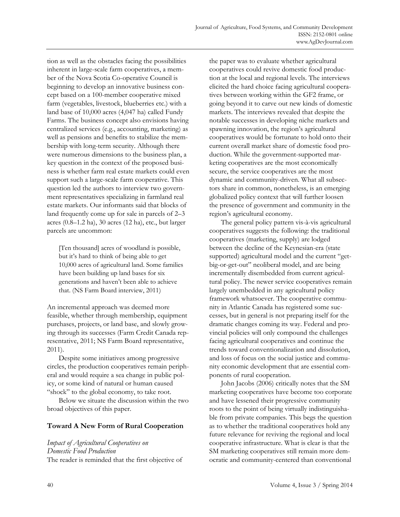tion as well as the obstacles facing the possibilities inherent in large-scale farm cooperatives, a member of the Nova Scotia Co-operative Council is beginning to develop an innovative business concept based on a 100-member cooperative mixed farm (vegetables, livestock, blueberries etc.) with a land base of 10,000 acres (4,047 ha) called Fundy Farms. The business concept also envisions having centralized services (e.g., accounting, marketing) as well as pensions and benefits to stabilize the membership with long-term security. Although there were numerous dimensions to the business plan, a key question in the context of the proposed business is whether farm real estate markets could even support such a large-scale farm cooperative. This question led the authors to interview two government representatives specializing in farmland real estate markets. Our informants said that blocks of land frequently come up for sale in parcels of 2–3 acres (0.8–1.2 ha), 30 acres (12 ha), etc., but larger parcels are uncommon:

[Ten thousand] acres of woodland is possible, but it's hard to think of being able to get 10,000 acres of agricultural land. Some families have been building up land bases for six generations and haven't been able to achieve that. (NS Farm Board interview, 2011)

An incremental approach was deemed more feasible, whether through membership, equipment purchases, projects, or land base, and slowly growing through its successes (Farm Credit Canada representative, 2011; NS Farm Board representative, 2011).

 Despite some initiatives among progressive circles, the production cooperatives remain peripheral and would require a sea change in public policy, or some kind of natural or human caused "shock" to the global economy, to take root.

 Below we situate the discussion within the two broad objectives of this paper.

## **Toward A New Form of Rural Cooperation**

*Impact of Agricultural Cooperatives on Domestic Food Production*  The reader is reminded that the first objective of the paper was to evaluate whether agricultural cooperatives could revive domestic food production at the local and regional levels. The interviews elicited the hard choice facing agricultural cooperatives between working within the GF2 frame, or going beyond it to carve out new kinds of domestic markets. The interviews revealed that despite the notable successes in developing niche markets and spawning innovation, the region's agricultural cooperatives would be fortunate to hold onto their current overall market share of domestic food production. While the government-supported marketing cooperatives are the most economically secure, the service cooperatives are the most dynamic and community-driven. What all subsectors share in common, nonetheless, is an emerging globalized policy context that will further loosen the presence of government and community in the region's agricultural economy.

 The general policy pattern vis-à-vis agricultural cooperatives suggests the following: the traditional cooperatives (marketing, supply) are lodged between the decline of the Keynesian-era (state supported) agricultural model and the current "getbig-or-get-out" neoliberal model, and are being incrementally disembedded from current agricultural policy. The newer service cooperatives remain largely unembedded in any agricultural policy framework whatsoever. The cooperative community in Atlantic Canada has registered some successes, but in general is not preparing itself for the dramatic changes coming its way. Federal and provincial policies will only compound the challenges facing agricultural cooperatives and continue the trends toward conventionalization and dissolution, and loss of focus on the social justice and community economic development that are essential components of rural cooperation.

 John Jacobs (2006) critically notes that the SM marketing cooperatives have become too corporate and have lessened their progressive community roots to the point of being virtually indistinguishable from private companies. This begs the question as to whether the traditional cooperatives hold any future relevance for reviving the regional and local cooperative infrastructure. What is clear is that the SM marketing cooperatives still remain more democratic and community-centered than conventional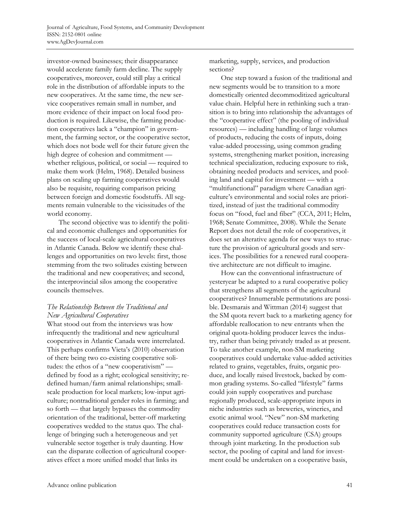investor-owned businesses; their disappearance would accelerate family farm decline. The supply cooperatives, moreover, could still play a critical role in the distribution of affordable inputs to the new cooperatives. At the same time, the new service cooperatives remain small in number, and more evidence of their impact on local food production is required. Likewise, the farming production cooperatives lack a "champion" in government, the farming sector, or the cooperative sector, which does not bode well for their future given the high degree of cohesion and commitment whether religious, political, or social — required to make them work (Helm, 1968). Detailed business plans on scaling up farming cooperatives would also be requisite, requiring comparison pricing between foreign and domestic foodstuffs. All segments remain vulnerable to the vicissitudes of the world economy.

 The second objective was to identify the political and economic challenges and opportunities for the success of local-scale agricultural cooperatives in Atlantic Canada. Below we identify these challenges and opportunities on two levels: first, those stemming from the two solitudes existing between the traditional and new cooperatives; and second, the interprovincial silos among the cooperative councils themselves.

# *The Relationship Between the Traditional and New Agricultural Cooperatives*

What stood out from the interviews was how infrequently the traditional and new agricultural cooperatives in Atlantic Canada were interrelated. This perhaps confirms Vieta's (2010) observation of there being two co-existing cooperative solitudes: the ethos of a "new cooperativism" defined by food as a right; ecological sensitivity; redefined human/farm animal relationships; smallscale production for local markets; low-input agriculture; nontraditional gender roles in farming; and so forth — that largely bypasses the commodity orientation of the traditional, better-off marketing cooperatives wedded to the status quo. The challenge of bringing such a heterogeneous and yet vulnerable sector together is truly daunting. How can the disparate collection of agricultural cooperatives effect a more unified model that links its

marketing, supply, services, and production sections?

 One step toward a fusion of the traditional and new segments would be to transition to a more domestically oriented decommoditized agricultural value chain. Helpful here in rethinking such a transition is to bring into relationship the advantages of the "cooperative effect" (the pooling of individual resources) — including handling of large volumes of products, reducing the costs of inputs, doing value-added processing, using common grading systems, strengthening market position, increasing technical specialization, reducing exposure to risk, obtaining needed products and services, and pooling land and capital for investment — with a "multifunctional" paradigm where Canadian agriculture's environmental and social roles are prioritized, instead of just the traditional commodity focus on "food, fuel and fiber" (CCA, 2011; Helm, 1968; Senate Committee, 2008). While the Senate Report does not detail the role of cooperatives, it does set an alterative agenda for new ways to structure the provision of agricultural goods and services. The possibilities for a renewed rural cooperative architecture are not difficult to imagine.

 How can the conventional infrastructure of yesteryear be adapted to a rural cooperative policy that strengthens all segments of the agricultural cooperatives? Innumerable permutations are possible. Desmarais and Wittman (2014) suggest that the SM quota revert back to a marketing agency for affordable reallocation to new entrants when the original quota-holding producer leaves the industry, rather than being privately traded as at present. To take another example, non-SM marketing cooperatives could undertake value-added activities related to grains, vegetables, fruits, organic produce, and locally raised livestock, backed by common grading systems. So-called "lifestyle" farms could join supply cooperatives and purchase regionally produced, scale-appropriate inputs in niche industries such as breweries, wineries, and exotic animal wool. "New" non-SM marketing cooperatives could reduce transaction costs for community supported agriculture (CSA) groups through joint marketing. In the production sub sector, the pooling of capital and land for investment could be undertaken on a cooperative basis,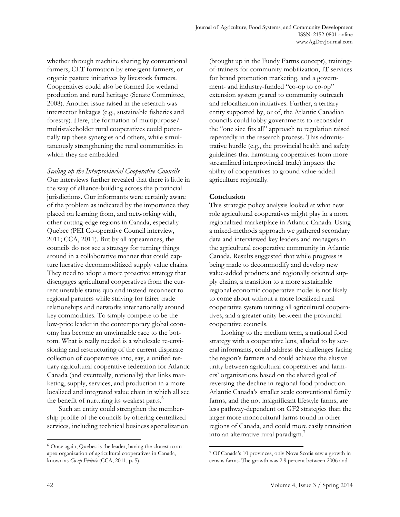whether through machine sharing by conventional farmers, CLT formation by emergent farmers, or organic pasture initiatives by livestock farmers. Cooperatives could also be formed for wetland production and rural heritage (Senate Committee, 2008). Another issue raised in the research was intersector linkages (e.g., sustainable fisheries and forestry). Here, the formation of multipurpose/ multistakeholder rural cooperatives could potentially tap these synergies and others, while simultaneously strengthening the rural communities in which they are embedded.

*Scaling up the Interprovincial Cooperative Councils*  Our interviews further revealed that there is little in the way of alliance-building across the provincial jurisdictions. Our informants were certainly aware of the problem as indicated by the importance they placed on learning from, and networking with, other cutting-edge regions in Canada, especially Quebec (PEI Co-operative Council interview, 2011; CCA, 2011). But by all appearances, the councils do not see a strategy for turning things around in a collaborative manner that could capture lucrative decommoditized supply value chains. They need to adopt a more proactive strategy that disengages agricultural cooperatives from the current unstable status quo and instead reconnect to regional partners while striving for fairer trade relationships and networks internationally around key commodities. To simply compete to be the low-price leader in the contemporary global economy has become an unwinnable race to the bottom. What is really needed is a wholesale re-envisioning and restructuring of the current disparate collection of cooperatives into, say, a unified tertiary agricultural cooperative federation for Atlantic Canada (and eventually, nationally) that links marketing, supply, services, and production in a more localized and integrated value chain in which all see the benefit of nurturing its weakest parts.<sup>6</sup>

 Such an entity could strengthen the membership profile of the councils by offering centralized services, including technical business specialization (brought up in the Fundy Farms concept), trainingof-trainers for community mobilization, IT services for brand promotion marketing, and a government- and industry-funded "co-op to co-op" extension system geared to community outreach and relocalization initiatives. Further, a tertiary entity supported by, or of, the Atlantic Canadian councils could lobby governments to reconsider the "one size fits all" approach to regulation raised repeatedly in the research process. This administrative hurdle (e.g., the provincial health and safety guidelines that hamstring cooperatives from more streamlined interprovincial trade) impacts the ability of cooperatives to ground value-added agriculture regionally.

## **Conclusion**

 $\overline{a}$ 

This strategic policy analysis looked at what new role agricultural cooperatives might play in a more regionalized marketplace in Atlantic Canada. Using a mixed-methods approach we gathered secondary data and interviewed key leaders and managers in the agricultural cooperative community in Atlantic Canada. Results suggested that while progress is being made to decommodify and develop new value-added products and regionally oriented supply chains, a transition to a more sustainable regional economic cooperative model is not likely to come about without a more localized rural cooperative system uniting all agricultural cooperatives, and a greater unity between the provincial cooperative councils.

 Looking to the medium term, a national food strategy with a cooperative lens, alluded to by several informants, could address the challenges facing the region's farmers and could achieve the elusive unity between agricultural cooperatives and farmers' organizations based on the shared goal of reversing the decline in regional food production. Atlantic Canada's smaller scale conventional family farms, and the not insignificant lifestyle farms, are less pathway-dependent on GF2 strategies than the larger more monocultural farms found in other regions of Canada, and could more easily transition into an alternative rural paradigm.<sup>7</sup>

<sup>6</sup> Once again, Quebec is the leader, having the closest to an apex organization of agricultural cooperatives in Canada, known as *Co-op Fédérée* (CCA, 2011, p. 5).

<sup>7</sup> Of Canada's 10 provinces, only Nova Scotia saw a growth in census farms. The growth was 2.9 percent between 2006 and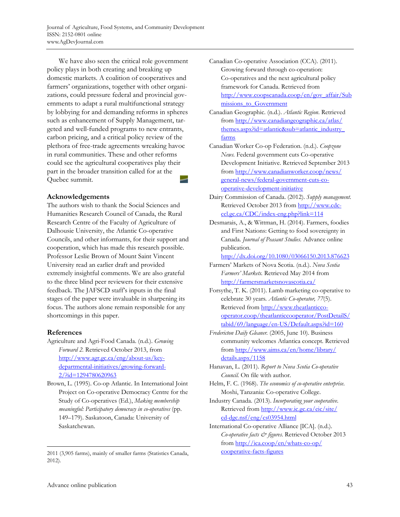We have also seen the critical role government policy plays in both creating and breaking up domestic markets. A coalition of cooperatives and farmers' organizations, together with other organizations, could pressure federal and provincial governments to adapt a rural multifunctional strategy by lobbying for and demanding reforms in spheres such as enhancement of Supply Management, targeted and well-funded programs to new entrants, carbon pricing, and a critical policy review of the plethora of free-trade agreements wreaking havoc in rural communities. These and other reforms could see the agricultural cooperatives play their part in the broader transition called for at the Quebec summit.

#### **Acknowledgements**

The authors wish to thank the Social Sciences and Humanities Research Council of Canada, the Rural Research Centre of the Faculty of Agriculture of Dalhousie University, the Atlantic Co-operative Councils, and other informants, for their support and cooperation, which has made this research possible. Professor Leslie Brown of Mount Saint Vincent University read an earlier draft and provided extremely insightful comments. We are also grateful to the three blind peer reviewers for their extensive feedback. The JAFSCD staff's inputs in the final stages of the paper were invaluable in sharpening its focus. The authors alone remain responsible for any shortcomings in this paper.

## **References**

 $\overline{a}$ 

- Agriculture and Agri-Food Canada. (n.d.). *Growing Forward 2.* Retrieved October 2013, from http://www.agr.gc.ca/eng/about-us/keydepartmental-initiatives/growing-forward-2/?id=1294780620963
- Brown, L. (1995). Co-op Atlantic. In International Joint Project on Co-operative Democracy Centre for the Study of Co-operatives (Ed.), *Making membership meaningful: Participatory democracy in co-operatives* (pp. 149–179). Saskatoon, Canada: University of Saskatchewan.
- Canadian Co-operative Association (CCA). (2011). Growing forward through co-operation: Co-operatives and the next agricultural policy framework for Canada. Retrieved from [http://www.coopscanada.coop/en/gov\\_affair/Sub](http://www.coopscanada.coop/en/gov_affair/Submissions_to_Government) missions to Government
- Canadian Geographic. (n.d.). *Atlantic Region*. Retrieved from http://www.canadiangeographic.ca/atlas/ [themes.aspx?id=atlantic&sub=atlantic\\_industry\\_](http://www.canadiangeographic.ca/atlas/themes.aspx?id=atlantic&sub=atlantic_industry_farms)  farms
- Canadian Worker Co-op Federation. (n.d.). *Coopzone News.* Federal government cuts Co-operative Development Initiative. Retrieved September 2013 [from http://www.canadianworker.coop/news/](http://www.canadianworker.coop/news/general-news/federal-government-cuts-co-operative-development-initiative) general-news/federal-government-cuts-cooperative-development-initiative
- Dairy Commission of Canada. (2012). *Supply management.* Retrieved October 2013 from http://www.cdcccl.gc.ca/CDC/index-eng.php?link=114
- Desmarais, A., & Wittman, H. (2014). Farmers, foodies and First Nations: Getting to food sovereignty in Canada. *Journal of Peasant Studies.* Advance online publication.

http://dx.doi.org/10.1080/03066150.2013.876623

- Farmers' Markets of Nova Scotia. (n.d.). *Nova Scotia Farmers' Markets.* Retrieved May 2014 from http://farmersmarketsnovascotia.ca/
- Forsythe, T. K. (2011). Lamb marketing co-operative to celebrate 30 years*. Atlantic Co-operator, 77*(5). Retrieved from http://www.theatlanticco[operator.coop/theatlanticcooperator/PostDetailS/](http://www.theatlanticco-operator.coop/theatlanticcooperator/PostDetailS/tabid/69/language/en-US/Default.aspx?id=160) tabid/69/language/en-US/Default.aspx?id=160
- *Fredericton Daily Gleaner.* (2005, June 10). Business community welcomes Atlantica concept*.* Retrieved from [http://www.aims.ca/en/home/library/](http://www.aims.ca/en/home/library/details.aspx/1158)  details.aspx/1158
- Hanavan, L. (2011). *Report to Nova Scotia Co-operative Council.* On file with author.
- Helm, F. C. (1968). *The economics of co-operative enterprise*. Moshi, Tanzania: Co-operative College.
- Industry Canada. (2013). *Incorporating your cooperative*. [Retrieved from http://www.ic.gc.ca/eic/site/](http://www.ic.gc.ca/eic/site/cd-dgc.nsf/eng/cs03954.html)  cd-dgc.nsf/eng/cs03954.html
- International Co-operative Alliance [ICA]. (n.d.). *Co-operative facts & figures*. Retrieved October 2013 [from http://ica.coop/en/whats-co-op/](http://ica.coop/en/whats-co-op/cooperative-facts-figures) cooperative-facts-figures

<sup>2011 (3,905</sup> farms), mainly of smaller farms (Statistics Canada, 2012).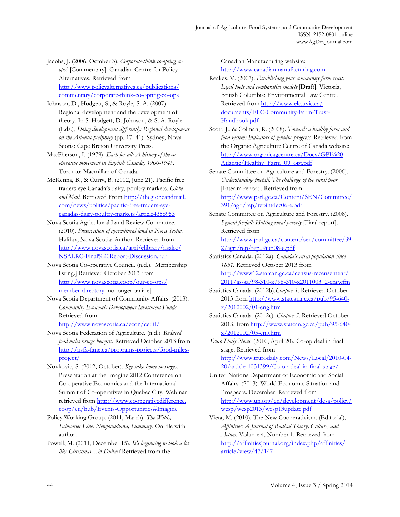Jacobs, J. (2006, October 3). *Corporate-think co-opting coops?* [Commentary]. Canadian Centre for Policy Alternatives. Retrieved from http://www.policyalternatives.ca/publications/ [commentary/corporate-think-co-opting-co-ops](http://www.policyalternatives.ca/publications/commentary/corporate-think-co-opting-co-ops) 

Johnson, D., Hodgett, S., & Royle, S. A. (2007). Regional development and the development of theory. In S. Hodgett, D. Johnson, & S. A. Royle (Eds.), *Doing development differently: Regional development on the Atlantic periphery* (pp. 17–41). Sydney, Nova Scotia: Cape Breton University Press.

MacPherson, I. (1979). *Each for all: A history of the cooperative movement in English Canada, 1900-1945.* Toronto: Macmillan of Canada.

- McKenna, B., & Curry, B. (2012, June 21). Pacific free traders eye Canada's dairy, poultry markets. *Globe*  and Mail. Retrieved From http://theglobeandmail. com/news/politics/pacific-free-traders-eye[canadas-dairy-poultry-markets/article4358953](http://theglobeandmail.com/news/politics/pacific-free-traders-eye-canadas-dairy-poultry-markets/article4358953)
- Nova Scotia Agricultural Land Review Committee. (2010). *Preservation of agricultural land in Nova Scotia.*  Halifax, Nova Scotia: Author. Retrieved from [http://www.novascotia.ca/agri/elibrary/nsalrc/](http://www.novascotia.ca/agri/elibrary/nsalrc/NSALRC-Final%20Report-Discussion.pdf)  NSALRC-Final%20Report-Discussion.pdf
- Nova Scotia Co-operative Council. (n.d.). [Membership listing.] Retrieved October 2013 from [http://www.novascotia.coop/our-co-ops/](http://www.novascotia.coop/our-co-ops/member-directory) member-directory [no longer online]

Nova Scotia Department of Community Affairs. (2013). *Community Economic Development Investment Funds.*  Retrieved from

http://www.novascotia.ca/econ/cedif/

Nova Scotia Federation of Agriculture. (n.d.). *Reduced food miles brings benefits.* Retrieved October 2013 from [http://nsfa-fane.ca/programs-projects/food-miles](http://nsfa-fane.ca/programs-projects/food-miles-project/)project/

Novkovic, S. (2012, October). *Key take home messages.* Presentation at the Imagine 2012 Conference on Co-operative Economics and the International Summit of Co-operatives in Quebec City. Webinar [retrieved from http://www.cooperativedifference.](http://www.cooperativedifference.coop/en/hub/Events-Opportunities#Imagine) coop/en/hub/Events-Opportunities#Imagine

Policy Working Group. (2011, March). *The Wilds, Salmonier Line, Newfoundland, Summary.* On file with author.

Powell, M. (2011, December 15). *It's beginning to look a lot like Christmas…in Dubai?* Retrieved from the

Canadian Manufacturing website: http://www.canadianmanufacturing.com

Reakes, V. (2007). *Establishing your community farm trust: Legal tools and comparative models* [Draft]. Victoria, British Columbia: Environmental Law Centre. Retrieved from http://www.elc.uvic.ca/ [documents/ELC-Community-Farm-Trust-](http://www.elc.uvic.ca/documents/ELC-Community-Farm-Trust-Handbook.pdf)Handbook.pdf

Scott, J., & Colman, R. (2008). *Towards a healthy farm and food system: Indicators of genuine progress*. Retrieved from the Organic Agriculture Centre of Canada website: [http://www.organicagcentre.ca/Docs/GPI%20](http://www.organicagcentre.ca/Docs/GPI%20Atlantic/Healthy_Farm_09_opt.pdf) Atlantic/Healthy Farm 09 opt.pdf

Senate Committee on Agriculture and Forestry. (2006). *Understanding freefall: The challenge of the rural poor*  [Interim report]*.* Retrieved from [http://www.parl.gc.ca/Content/SEN/Committee/](http://www.parl.gc.ca/Content/SEN/Committee/391/agri/rep/repintdec06-e.pdf) 391/agri/rep/repintdec06-e.pdf

Senate Committee on Agriculture and Forestry. (2008). *Beyond freefall: Halting rural poverty* [Final report]. Retrieved from

[http://www.parl.gc.ca/content/sen/committee/39](http://www.parl.gc.ca/content/sen/committee/392/agri/rep/rep09jun08-e.pdf) 2/agri/rep/rep09jun08-e.pdf

Statistics Canada. (2012a). *Canada's rural population since 1851.* Retrieved October 2013 from http://www12.statcan.gc.ca/census-recensement/ [2011/as-sa/98-310-x/98-310-x2011003\\_2-eng.cfm](http://www12.statcan.gc.ca/census-recensement/2011/as-sa/98-310-x/98-310-x2011003_2-eng.cfm) 

Statistics Canada. (2012b).*Chapter 1.* Retrieved October [2013 from http://www.statcan.gc.ca/pub/95-640](http://www.statcan.gc.ca/pub/95-640-x/2012002/01-eng.htm)  $x/2012002/01$ -eng.htm

Statistics Canada. (2012c). *Chapter 5.* Retrieved October 2013, from http://www.statcan.gc.ca/pub/95-640  $x/2012002/05$ -eng.htm

*Truro Daily News*. (2010, April 20). Co-op deal in final stage. Retrieved from http://www.trurodaily.com/News/Local/2010-04-

20/article-1031399/Co-op-deal-in-final-stage/1

- United Nations Department of Economic and Social Affairs. (2013). World Economic Situation and Prospects. December. Retrieved from [http://www.un.org/en/development/desa/policy/](http://www.un.org/en/development/desa/policy/wesp/wesp2013/wesp13update.pdf) wesp/wesp2013/wesp13update.pdf
- Vieta, M. (2010). The New Cooperativism. (Editorial), *Affinities: A Journal of Radical Theory, Culture, and Action.* Volume 4, Number 1. Retrieved from [http://affinitiesjournal.org/index.php/affinities/](http://affinitiesjournal.org/index.php/affinities/article/view/47/147)  article/view/47/147